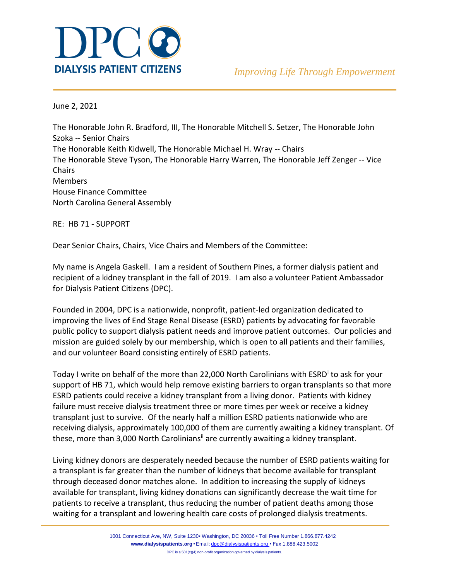

June 2, 2021

The Honorable John R. Bradford, III, The Honorable Mitchell S. Setzer, The Honorable John Szoka -- Senior Chairs The Honorable Keith Kidwell, The Honorable Michael H. Wray -- Chairs The Honorable Steve Tyson, The Honorable Harry Warren, The Honorable Jeff Zenger -- Vice Chairs Members House Finance Committee North Carolina General Assembly

RE: HB 71 - SUPPORT

Dear Senior Chairs, Chairs, Vice Chairs and Members of the Committee:

My name is Angela Gaskell. I am a resident of Southern Pines, a former dialysis patient and recipient of a kidney transplant in the fall of 2019. I am also a volunteer Patient Ambassador for Dialysis Patient Citizens (DPC).

Founded in 2004, DPC is a nationwide, nonprofit, patient-led organization dedicated to improving the lives of End Stage Renal Disease (ESRD) patients by advocating for favorable public policy to support dialysis patient needs and improve patient outcomes. Our policies and mission are guided solely by our membership, which is open to all patients and their families, and our volunteer Board consisting entirely of ESRD patients.

Today I write on behalf of the more than 22,000 North Carolinians with ESRD<sup>i</sup> to ask for your support of HB 71, which would help remove existing barriers to organ transplants so that more ESRD patients could receive a kidney transplant from a living donor. Patients with kidney failure must receive dialysis treatment three or more times per week or receive a kidney transplant just to survive. Of the nearly half a million ESRD patients nationwide who are receiving dialysis, approximately 100,000 of them are currently awaiting a kidney transplant. Of these, more than 3,000 North Carolinians<sup>ii</sup> are currently awaiting a kidney transplant.

Living kidney donors are desperately needed because the number of ESRD patients waiting for a transplant is far greater than the number of kidneys that become available for transplant through deceased donor matches alone. In addition to increasing the supply of kidneys available for transplant, living kidney donations can significantly decrease the wait time for patients to receive a transplant, thus reducing the number of patient deaths among those waiting for a transplant and lowering health care costs of prolonged dialysis treatments.